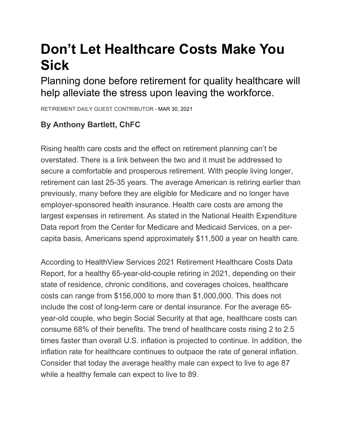## **Don't Let Healthcare Costs Make You Sick**

Planning done before retirement for quality healthcare will help alleviate the stress upon leaving the workforce.

RETIREMENT DAILY GUEST CONTRIBUTOR - MAR 30, 2021

## **By Anthony Bartlett, ChFC**

Rising health care costs and the effect on retirement planning can't be overstated. There is a link between the two and it must be addressed to secure a comfortable and prosperous retirement. With people living longer, retirement can last 25-35 years. The average American is retiring earlier than previously, many before they are eligible for Medicare and no longer have employer-sponsored health insurance. Health care costs are among the largest expenses in retirement. As stated in the National Health Expenditure Data report from the Center for Medicare and Medicaid Services, on a percapita basis, Americans spend approximately \$11,500 a year on health care.

According to HealthView Services 2021 Retirement Healthcare Costs Data Report, for a healthy 65-year-old-couple retiring in 2021, depending on their state of residence, chronic conditions, and coverages choices, healthcare costs can range from \$156,000 to more than \$1,000,000. This does not include the cost of long-term care or dental insurance. For the average 65 year-old couple, who begin Social Security at that age, healthcare costs can consume 68% of their benefits. The trend of healthcare costs rising 2 to 2.5 times faster than overall U.S. inflation is projected to continue. In addition, the inflation rate for healthcare continues to outpace the rate of general inflation. Consider that today the average healthy male can expect to live to age 87 while a healthy female can expect to live to 89.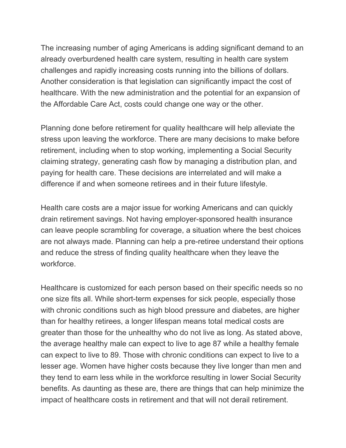The increasing number of aging Americans is adding significant demand to an already overburdened health care system, resulting in health care system challenges and rapidly increasing costs running into the billions of dollars. Another consideration is that legislation can significantly impact the cost of healthcare. With the new administration and the potential for an expansion of the Affordable Care Act, costs could change one way or the other.

Planning done before retirement for quality healthcare will help alleviate the stress upon leaving the workforce. There are many decisions to make before retirement, including when to stop working, implementing a Social Security claiming strategy, generating cash flow by managing a distribution plan, and paying for health care. These decisions are interrelated and will make a difference if and when someone retirees and in their future lifestyle.

Health care costs are a major issue for working Americans and can quickly drain retirement savings. Not having employer-sponsored health insurance can leave people scrambling for coverage, a situation where the best choices are not always made. Planning can help a pre-retiree understand their options and reduce the stress of finding quality healthcare when they leave the workforce.

Healthcare is customized for each person based on their specific needs so no one size fits all. While short-term expenses for sick people, especially those with chronic conditions such as high blood pressure and diabetes, are higher than for healthy retirees, a longer lifespan means total medical costs are greater than those for the unhealthy who do not live as long. As stated above, the average healthy male can expect to live to age 87 while a healthy female can expect to live to 89. Those with chronic conditions can expect to live to a lesser age. Women have higher costs because they live longer than men and they tend to earn less while in the workforce resulting in lower Social Security benefits. As daunting as these are, there are things that can help minimize the impact of healthcare costs in retirement and that will not derail retirement.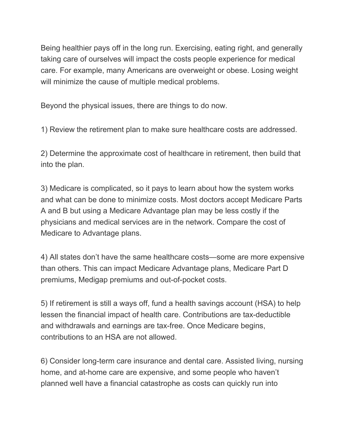Being healthier pays off in the long run. Exercising, eating right, and generally taking care of ourselves will impact the costs people experience for medical care. For example, many Americans are overweight or obese. Losing weight will minimize the cause of multiple medical problems.

Beyond the physical issues, there are things to do now.

1) Review the retirement plan to make sure healthcare costs are addressed.

2) Determine the approximate cost of healthcare in retirement, then build that into the plan.

3) Medicare is complicated, so it pays to learn about how the system works and what can be done to minimize costs. Most doctors accept Medicare Parts A and B but using a Medicare Advantage plan may be less costly if the physicians and medical services are in the network. Compare the cost of Medicare to Advantage plans.

4) All states don't have the same healthcare costs—some are more expensive than others. This can impact Medicare Advantage plans, Medicare Part D premiums, Medigap premiums and out-of-pocket costs.

5) If retirement is still a ways off, fund a health savings account (HSA) to help lessen the financial impact of health care. Contributions are tax-deductible and withdrawals and earnings are tax-free. Once Medicare begins, contributions to an HSA are not allowed.

6) Consider long-term care insurance and dental care. Assisted living, nursing home, and at-home care are expensive, and some people who haven't planned well have a financial catastrophe as costs can quickly run into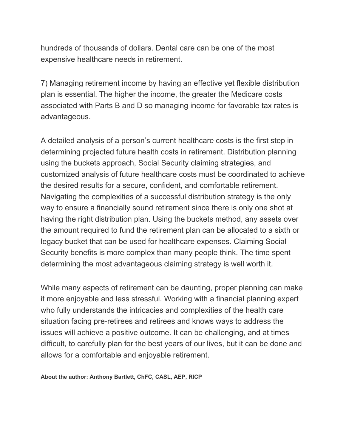hundreds of thousands of dollars. Dental care can be one of the most expensive healthcare needs in retirement.

7) Managing retirement income by having an effective yet flexible distribution plan is essential. The higher the income, the greater the Medicare costs associated with Parts B and D so managing income for favorable tax rates is advantageous.

A detailed analysis of a person's current healthcare costs is the first step in determining projected future health costs in retirement. Distribution planning using the buckets approach, Social Security claiming strategies, and customized analysis of future healthcare costs must be coordinated to achieve the desired results for a secure, confident, and comfortable retirement. Navigating the complexities of a successful distribution strategy is the only way to ensure a financially sound retirement since there is only one shot at having the right distribution plan. Using the buckets method, any assets over the amount required to fund the retirement plan can be allocated to a sixth or legacy bucket that can be used for healthcare expenses. Claiming Social Security benefits is more complex than many people think. The time spent determining the most advantageous claiming strategy is well worth it.

While many aspects of retirement can be daunting, proper planning can make it more enjoyable and less stressful. Working with a financial planning expert who fully understands the intricacies and complexities of the health care situation facing pre-retirees and retirees and knows ways to address the issues will achieve a positive outcome. It can be challenging, and at times difficult, to carefully plan for the best years of our lives, but it can be done and allows for a comfortable and enjoyable retirement.

**About the author: Anthony Bartlett, ChFC, CASL, AEP, RICP**